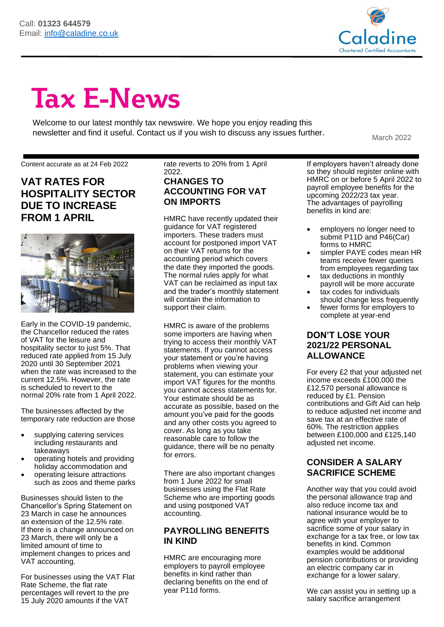

# **Tax E-News**

Welcome to our latest monthly tax newswire. We hope you enjoy reading this newsletter and find it useful. Contact us if you wish to discuss any issues further.<br>March 2022

#### Content accurate as at 24 Feb 2022

**VAT RATES FOR HOSPITALITY SECTOR DUE TO INCREASE FROM 1 APRIL**



Early in the COVID-19 pandemic, the Chancellor reduced the rates of VAT for the leisure and hospitality sector to just 5%. That reduced rate applied from 15 July 2020 until 30 September 2021 when the rate was increased to the current 12.5%. However, the rate is scheduled to revert to the normal 20% rate from 1 April 2022.

The businesses affected by the temporary rate reduction are those

- supplying catering services including restaurants and takeaways
- operating hotels and providing holiday accommodation and
- operating leisure attractions such as zoos and theme parks

Businesses should listen to the Chancellor's Spring Statement on 23 March in case he announces an extension of the 12.5% rate. If there is a change announced on 23 March, there will only be a limited amount of time to implement changes to prices and VAT accounting.

For businesses using the VAT Flat Rate Scheme, the flat rate percentages will revert to the pre 15 July 2020 amounts if the VAT

rate reverts to 20% from 1 April 2022.

### **CHANGES TO ACCOUNTING FOR VAT ON IMPORTS**

HMRC have recently updated their guidance for VAT registered importers. These traders must account for postponed import VAT on their VAT returns for the accounting period which covers the date they imported the goods. The normal rules apply for what VAT can be reclaimed as input tax and the trader's monthly statement will contain the information to support their claim.

HMRC is aware of the problems some importers are having when trying to access their monthly VAT statements. If you cannot access your statement or you're having problems when viewing your statement, you can estimate your import VAT figures for the months you cannot access statements for. Your estimate should be as accurate as possible, based on the amount you've paid for the goods and any other costs you agreed to cover. As long as you take reasonable care to follow the guidance, there will be no penalty for errors.

There are also important changes from 1 June 2022 for small businesses using the Flat Rate Scheme who are importing goods and using postponed VAT accounting.

### **PAYROLLING BENEFITS IN KIND**

HMRC are encouraging more employers to payroll employee benefits in kind rather than declaring benefits on the end of year P11d forms.

If employers haven't already done so they should register online with HMRC on or before 5 April 2022 to payroll employee benefits for the upcoming 2022/23 tax year. The advantages of payrolling benefits in kind are:

- employers no longer need to submit P11D and P46(Car) forms to HMRC
- simpler PAYE codes mean HR teams receive fewer queries from employees regarding tax
- tax deductions in monthly payroll will be more accurate
- tax codes for individuals should change less frequently
- fewer forms for employers to complete at year-end

### **DON'T LOSE YOUR 2021/22 PERSONAL ALLOWANCE**

For every £2 that your adjusted net income exceeds £100,000 the £12,570 personal allowance is reduced by £1. Pension contributions and Gift Aid can help to reduce adjusted net income and save tax at an effective rate of 60%. The restriction applies between £100,000 and £125,140 adjusted net income.

### **CONSIDER A SALARY SACRIFICE SCHEME**

Another way that you could avoid the personal allowance trap and also reduce income tax and national insurance would be to agree with your employer to sacrifice some of your salary in exchange for a tax free, or low tax benefits in kind. Common examples would be additional pension contributions or providing an electric company car in exchange for a lower salary.

We can assist you in setting up a salary sacrifice arrangement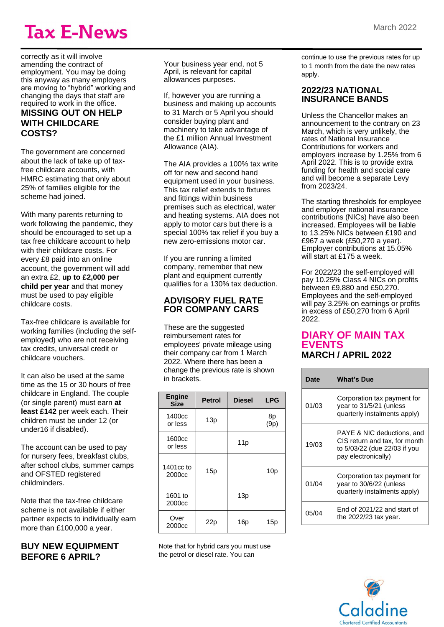## **Tax E-News**

correctly as it will involve amending the contract of employment. You may be doing this anyway as many employers are moving to "hybrid" working and changing the days that staff are required to work in the office. **MISSING OUT ON HELP WITH CHILDCARE COSTS?**

The government are concerned about the lack of take up of taxfree childcare accounts, with HMRC estimating that only about 25% of families eligible for the scheme had joined.

With many parents returning to work following the pandemic, they should be encouraged to set up a tax free childcare account to help with their childcare costs. For every £8 paid into an online account, the government will add an extra £2, **up to £2,000 per child per year** and that money must be used to pay eligible childcare costs.

Tax-free childcare is available for working families (including the selfemployed) who are not receiving tax credits, universal credit or childcare vouchers.

It can also be used at the same time as the 15 or 30 hours of free childcare in England. The couple (or single parent) must earn **at least £142** per week each. Their children must be under 12 (or under16 if disabled).

The account can be used to pay for nursery fees, breakfast clubs, after school clubs, summer camps and OFSTED registered childminders.

Note that the tax-free childcare scheme is not available if either partner expects to individually earn more than £100,000 a year.

**BUY NEW EQUIPMENT BEFORE 6 APRIL?**

Your business year end, not 5 April, is relevant for capital allowances purposes.

If, however you are running a business and making up accounts to 31 March or 5 April you should consider buying plant and machinery to take advantage of the £1 million Annual Investment Allowance (AIA).

The AIA provides a 100% tax write off for new and second hand equipment used in your business. This tax relief extends to fixtures and fittings within business premises such as electrical, water and heating systems. AIA does not apply to motor cars but there is a special 100% tax relief if you buy a new zero-emissions motor car.

If you are running a limited company, remember that new plant and equipment currently qualifies for a 130% tax deduction.

### **ADVISORY FUEL RATE FOR COMPANY CARS**

These are the suggested reimbursement rates for employees' private mileage using their company car from 1 March 2022. Where there has been a change the previous rate is shown in brackets.

| <b>Engine</b><br><b>Size</b> | <b>Petrol</b> | <b>Diesel</b> | <b>LPG</b>      |
|------------------------------|---------------|---------------|-----------------|
| 1400cc<br>or less            | 13p           |               | 8p<br>(9p)      |
| 1600cc<br>or less            |               | 11p           |                 |
| 1401cc to<br>2000cc          | 15p           |               | 10 <sub>p</sub> |
| 1601 to<br>2000cc            |               | 13p           |                 |
| Over<br>2000cc               | 22p           | 16p           | 15p             |

Note that for hybrid cars you must use the petrol or diesel rate. You can

continue to use the previous rates for up to 1 month from the date the new rates apply.

#### **2022/23 NATIONAL INSURANCE BANDS**

Unless the Chancellor makes an announcement to the contrary on 23 March, which is very unlikely, the rates of National Insurance Contributions for workers and employers increase by 1.25% from 6 April 2022. This is to provide extra funding for health and social care and will become a separate Levy from 2023/24.

The starting thresholds for employee and employer national insurance contributions (NICs) have also been increased. Employees will be liable to 13.25% NICs between £190 and £967 a week (£50,270 a year). Employer contributions at 15.05% will start at £175 a week.

For 2022/23 the self-employed will pay 10.25% Class 4 NICs on profits between £9,880 and £50,270. Employees and the self-employed will pay 3.25% on earnings or profits in excess of £50,270 from 6 April 2022.

### **DIARY OF MAIN TAX EVENTS MARCH / APRIL 2022**

| <b>Date</b> | <b>What's Due</b>                                                                                                  |  |
|-------------|--------------------------------------------------------------------------------------------------------------------|--|
| 01/03       | Corporation tax payment for<br>year to 31/5/21 (unless<br>quarterly instalments apply)                             |  |
| 19/03       | PAYE & NIC deductions, and<br>CIS return and tax, for month<br>to 5/03/22 (due 22/03 if you<br>pay electronically) |  |
| 01/04       | Corporation tax payment for<br>year to 30/6/22 (unless<br>quarterly instalments apply)                             |  |
| 05/04       | End of 2021/22 and start of<br>the $2022/23$ tax year.                                                             |  |